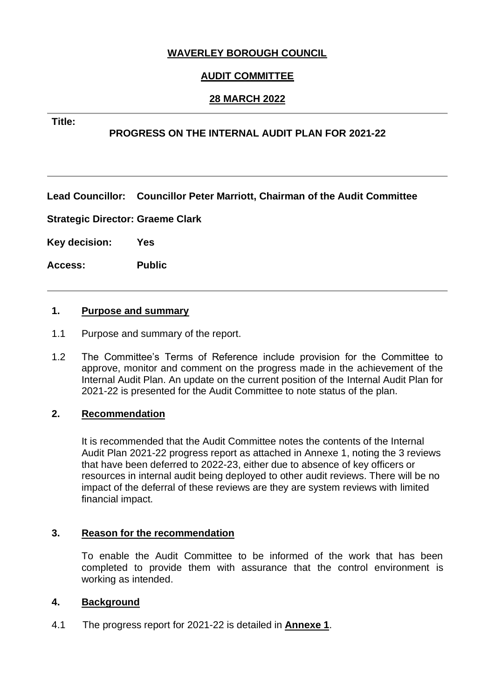# **WAVERLEY BOROUGH COUNCIL**

# **AUDIT COMMITTEE**

# **28 MARCH 2022**

#### **Title:**

## **PROGRESS ON THE INTERNAL AUDIT PLAN FOR 2021-22**

**Lead Councillor: Councillor Peter Marriott, Chairman of the Audit Committee**

**Strategic Director: Graeme Clark**

**Key decision: Yes**

**Access: Public**

#### **1. Purpose and summary**

- 1.1 Purpose and summary of the report.
- 1.2 The Committee's Terms of Reference include provision for the Committee to approve, monitor and comment on the progress made in the achievement of the Internal Audit Plan. An update on the current position of the Internal Audit Plan for 2021-22 is presented for the Audit Committee to note status of the plan.

## **2. Recommendation**

It is recommended that the Audit Committee notes the contents of the Internal Audit Plan 2021-22 progress report as attached in Annexe 1, noting the 3 reviews that have been deferred to 2022-23, either due to absence of key officers or resources in internal audit being deployed to other audit reviews. There will be no impact of the deferral of these reviews are they are system reviews with limited financial impact.

#### **3. Reason for the recommendation**

To enable the Audit Committee to be informed of the work that has been completed to provide them with assurance that the control environment is working as intended.

#### **4. Background**

4.1 The progress report for 2021-22 is detailed in **Annexe 1**.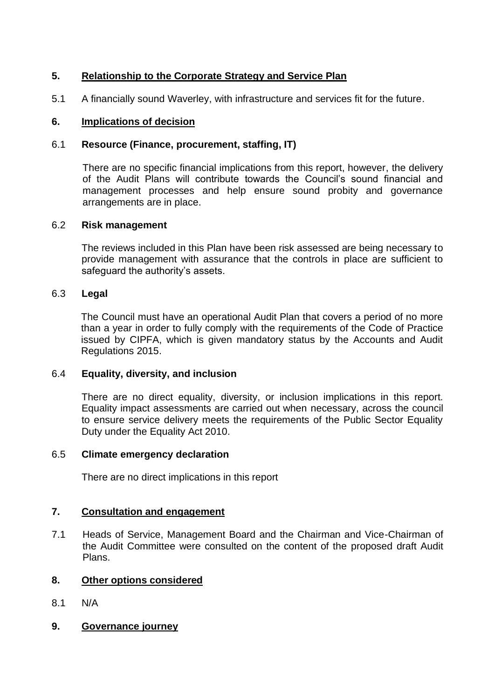# **5. Relationship to the Corporate Strategy and Service Plan**

5.1 A financially sound Waverley, with infrastructure and services fit for the future.

## **6. Implications of decision**

#### 6.1 **Resource (Finance, procurement, staffing, IT)**

There are no specific financial implications from this report, however, the delivery of the Audit Plans will contribute towards the Council's sound financial and management processes and help ensure sound probity and governance arrangements are in place.

#### 6.2 **Risk management**

The reviews included in this Plan have been risk assessed are being necessary to provide management with assurance that the controls in place are sufficient to safeguard the authority's assets.

#### 6.3 **Legal**

The Council must have an operational Audit Plan that covers a period of no more than a year in order to fully comply with the requirements of the Code of Practice issued by CIPFA, which is given mandatory status by the Accounts and Audit Regulations 2015.

#### 6.4 **Equality, diversity, and inclusion**

There are no direct equality, diversity, or inclusion implications in this report. Equality impact assessments are carried out when necessary, across the council to ensure service delivery meets the requirements of the Public Sector Equality Duty under the Equality Act 2010.

#### 6.5 **Climate emergency declaration**

There are no direct implications in this report

#### **7. Consultation and engagement**

7.1 Heads of Service, Management Board and the Chairman and Vice-Chairman of the Audit Committee were consulted on the content of the proposed draft Audit Plans.

#### **8. Other options considered**

- 8.1 N/A
- **9. Governance journey**